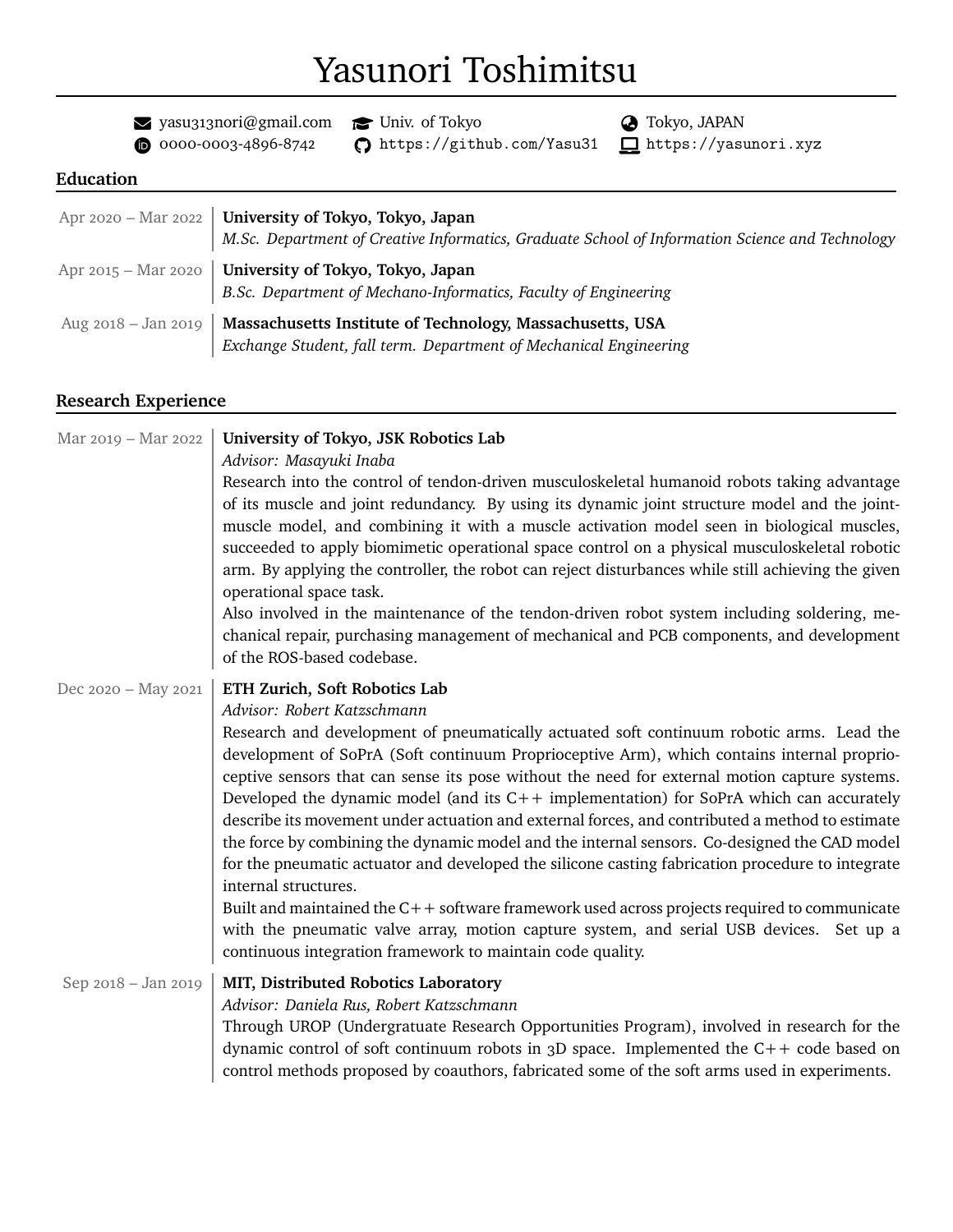# Yasunori Toshimitsu

 $\blacktriangleright$  yasu313nori@gmail.com  $\blacktriangleright$  Univ. of Tokyo  $\blacklozenge$  Tokyo, JAPAN

 $\bullet$  0000-0003-4896-8742  $\bullet$  https://github.com/Yasu31  $\Box$ https://yasunori.xyz

## **Education**

| Apr 2020 – Mar 2022   University of Tokyo, Tokyo, Japan<br>M.Sc. Department of Creative Informatics, Graduate School of Information Science and Technology |
|------------------------------------------------------------------------------------------------------------------------------------------------------------|
| Apr 2015 – Mar 2020   University of Tokyo, Tokyo, Japan<br>B.Sc. Department of Mechano-Informatics, Faculty of Engineering                                 |
| Aug 2018 - Jan 2019   Massachusetts Institute of Technology, Massachusetts, USA<br>Exchange Student, fall term. Department of Mechanical Engineering       |

### **Research Experience**

| Mar 2019 - Mar 2022 | University of Tokyo, JSK Robotics Lab                                                                                                                                                           |
|---------------------|-------------------------------------------------------------------------------------------------------------------------------------------------------------------------------------------------|
|                     | Advisor: Masayuki Inaba                                                                                                                                                                         |
|                     | Research into the control of tendon-driven musculoskeletal humanoid robots taking advantage                                                                                                     |
|                     | of its muscle and joint redundancy. By using its dynamic joint structure model and the joint-                                                                                                   |
|                     | muscle model, and combining it with a muscle activation model seen in biological muscles,                                                                                                       |
|                     | succeeded to apply biomimetic operational space control on a physical musculoskeletal robotic                                                                                                   |
|                     | arm. By applying the controller, the robot can reject disturbances while still achieving the given                                                                                              |
|                     | operational space task.                                                                                                                                                                         |
|                     | Also involved in the maintenance of the tendon-driven robot system including soldering, me-                                                                                                     |
|                     | chanical repair, purchasing management of mechanical and PCB components, and development<br>of the ROS-based codebase.                                                                          |
| Dec 2020 - May 2021 | ETH Zurich, Soft Robotics Lab                                                                                                                                                                   |
|                     | Advisor: Robert Katzschmann                                                                                                                                                                     |
|                     | Research and development of pneumatically actuated soft continuum robotic arms. Lead the                                                                                                        |
|                     | development of SoPrA (Soft continuum Proprioceptive Arm), which contains internal proprio-                                                                                                      |
|                     | ceptive sensors that can sense its pose without the need for external motion capture systems.                                                                                                   |
|                     | Developed the dynamic model (and its $C++$ implementation) for SoPrA which can accurately                                                                                                       |
|                     | describe its movement under actuation and external forces, and contributed a method to estimate<br>the force by combining the dynamic model and the internal sensors. Co-designed the CAD model |
|                     | for the pneumatic actuator and developed the silicone casting fabrication procedure to integrate                                                                                                |
|                     | internal structures.                                                                                                                                                                            |
|                     | Built and maintained the $C++$ software framework used across projects required to communicate                                                                                                  |
|                     | with the pneumatic valve array, motion capture system, and serial USB devices. Set up a                                                                                                         |
|                     | continuous integration framework to maintain code quality.                                                                                                                                      |
| Sep 2018 - Jan 2019 | MIT, Distributed Robotics Laboratory                                                                                                                                                            |
|                     | Advisor: Daniela Rus, Robert Katzschmann                                                                                                                                                        |
|                     | Through UROP (Undergratuate Research Opportunities Program), involved in research for the                                                                                                       |
|                     | dynamic control of soft continuum robots in $3D$ space. Implemented the C++ code based on                                                                                                       |
|                     | control methods proposed by coauthors, fabricated some of the soft arms used in experiments.                                                                                                    |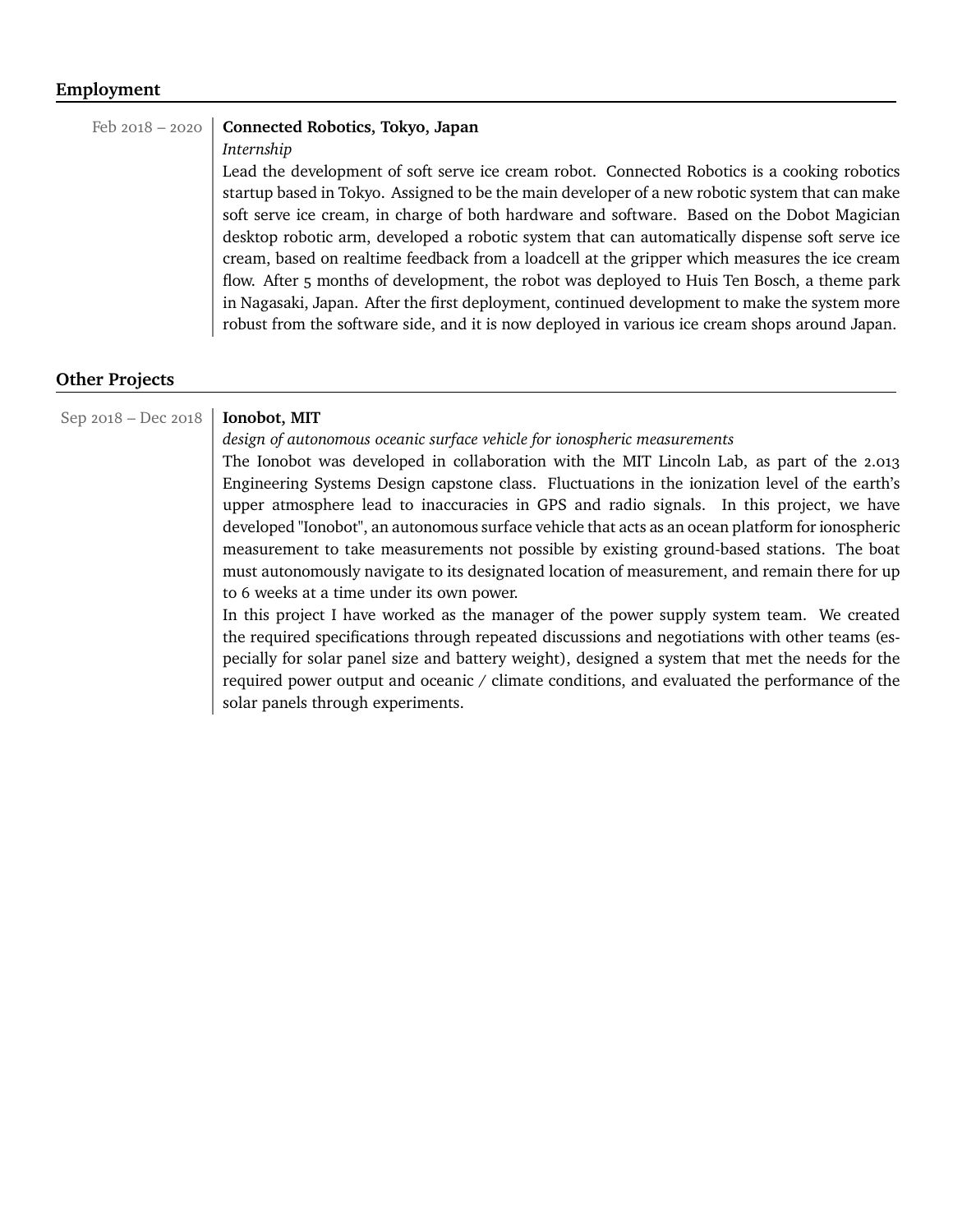#### **Employment**

#### Feb 2018 – 2020 **Connected Robotics, Tokyo, Japan**

#### *Internship*

Lead the development of soft serve ice cream robot. Connected Robotics is a cooking robotics startup based in Tokyo. Assigned to be the main developer of a new robotic system that can make soft serve ice cream, in charge of both hardware and software. Based on the Dobot Magician desktop robotic arm, developed a robotic system that can automatically dispense soft serve ice cream, based on realtime feedback from a loadcell at the gripper which measures the ice cream flow. After 5 months of development, the robot was deployed to Huis Ten Bosch, a theme park in Nagasaki, Japan. After the first deployment, continued development to make the system more robust from the software side, and it is now deployed in various ice cream shops around Japan.

#### **Other Projects**

#### Sep 2018 – Dec 2018 **Ionobot, MIT**

*design of autonomous oceanic surface vehicle for ionospheric measurements*

The Ionobot was developed in collaboration with the MIT Lincoln Lab, as part of the 2.013 Engineering Systems Design capstone class. Fluctuations in the ionization level of the earth's upper atmosphere lead to inaccuracies in GPS and radio signals. In this project, we have developed "Ionobot", an autonomous surface vehicle that acts as an ocean platform for ionospheric measurement to take measurements not possible by existing ground-based stations. The boat must autonomously navigate to its designated location of measurement, and remain there for up to 6 weeks at a time under its own power.

In this project I have worked as the manager of the power supply system team. We created the required specifications through repeated discussions and negotiations with other teams (especially for solar panel size and battery weight), designed a system that met the needs for the required power output and oceanic / climate conditions, and evaluated the performance of the solar panels through experiments.